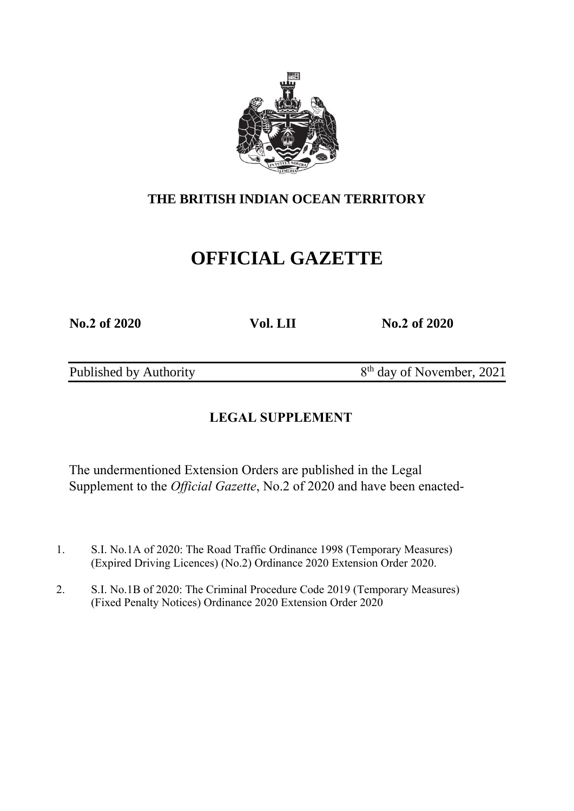

# **OFFICIAL GAZETTE**

**No.2 of 2020 Vol. LII No.2 of 2020**

Published by Authority

8<sup>th</sup> day of November, 2021

## **LEGAL SUPPLEMENT**

The undermentioned Extension Orders are published in the Legal Supplement to the *Official Gazette*, No.2 of 2020 and have been enacted-

- 1. S.I. No.1A of 2020: The Road Traffic Ordinance 1998 (Temporary Measures) (Expired Driving Licences) (No.2) Ordinance 2020 Extension Order 2020.
- 2. S.I. No.1B of 2020: The Criminal Procedure Code 2019 (Temporary Measures) (Fixed Penalty Notices) Ordinance 2020 Extension Order 2020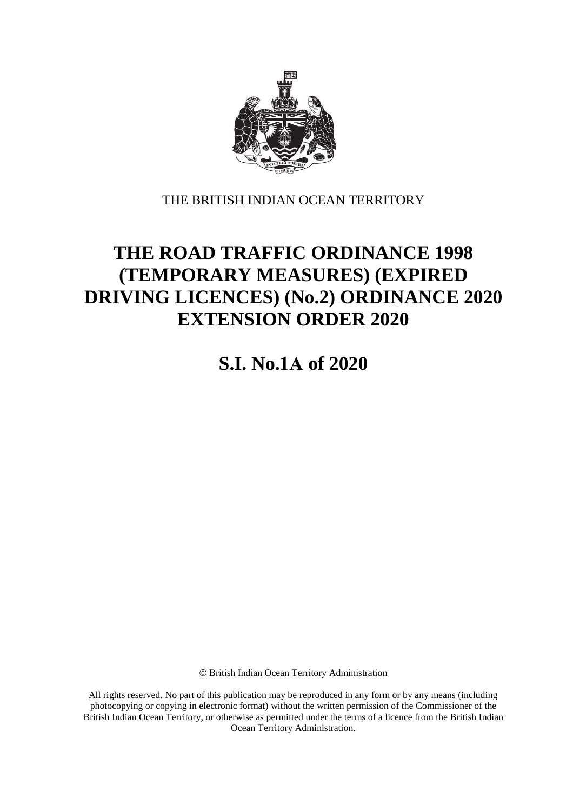

# **THE ROAD TRAFFIC ORDINANCE 1998 (TEMPORARY MEASURES) (EXPIRED DRIVING LICENCES) (No.2) ORDINANCE 2020 EXTENSION ORDER 2020**

**S.I. No.1A of 2020**

British Indian Ocean Territory Administration

All rights reserved. No part of this publication may be reproduced in any form or by any means (including photocopying or copying in electronic format) without the written permission of the Commissioner of the British Indian Ocean Territory, or otherwise as permitted under the terms of a licence from the British Indian Ocean Territory Administration.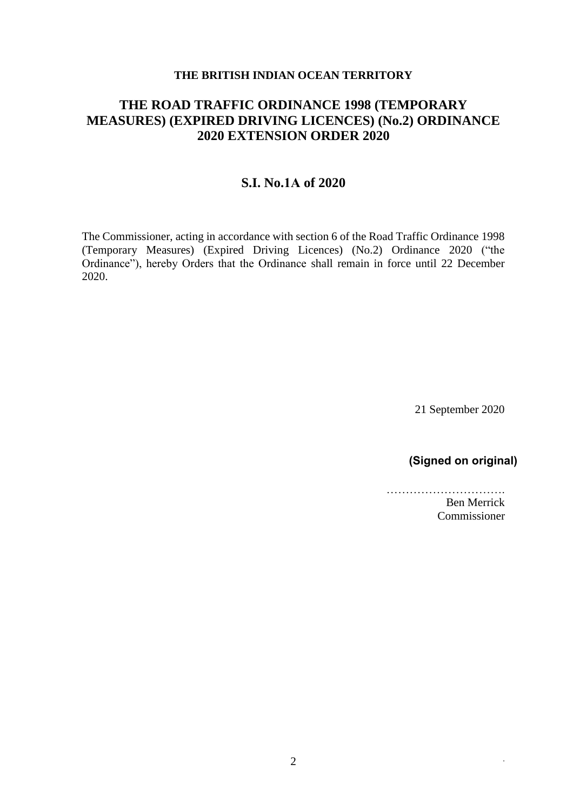### **THE ROAD TRAFFIC ORDINANCE 1998 (TEMPORARY MEASURES) (EXPIRED DRIVING LICENCES) (No.2) ORDINANCE 2020 EXTENSION ORDER 2020**

#### **S.I. No.1A of 2020**

The Commissioner, acting in accordance with section 6 of the Road Traffic Ordinance 1998 (Temporary Measures) (Expired Driving Licences) (No.2) Ordinance 2020 ("the Ordinance"), hereby Orders that the Ordinance shall remain in force until 22 December 2020.

21 September 2020

### **(Signed on original)**

…………………………. Ben Merrick Commissioner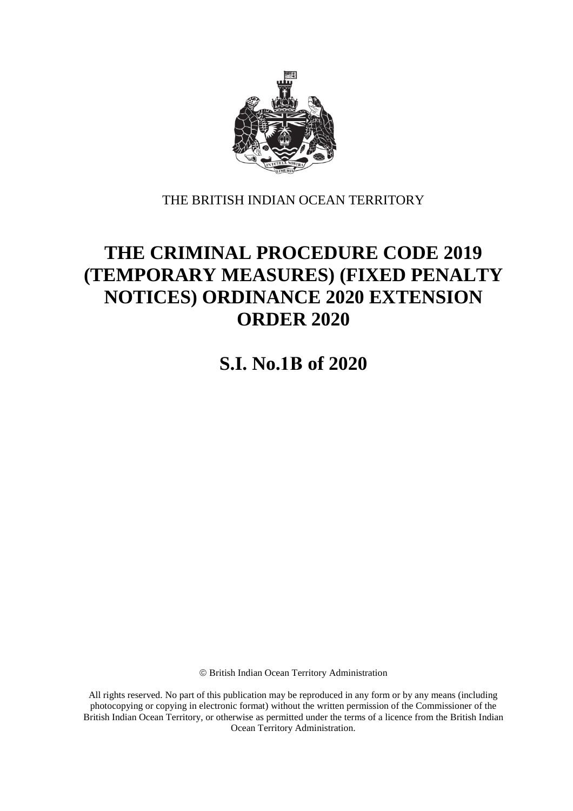

# **THE CRIMINAL PROCEDURE CODE 2019 (TEMPORARY MEASURES) (FIXED PENALTY NOTICES) ORDINANCE 2020 EXTENSION ORDER 2020**

**S.I. No.1B of 2020**

British Indian Ocean Territory Administration

All rights reserved. No part of this publication may be reproduced in any form or by any means (including photocopying or copying in electronic format) without the written permission of the Commissioner of the British Indian Ocean Territory, or otherwise as permitted under the terms of a licence from the British Indian Ocean Territory Administration.